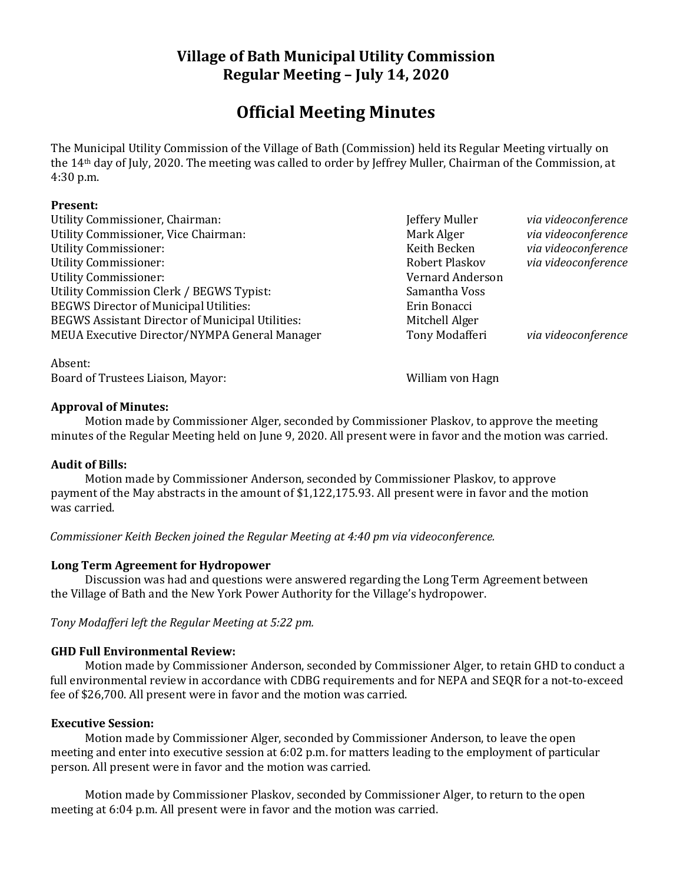## **Village of Bath Municipal Utility Commission Regular Meeting – July 14, 2020**

# **Official Meeting Minutes**

The Municipal Utility Commission of the Village of Bath (Commission) held its Regular Meeting virtually on the 14th day of July, 2020. The meeting was called to order by Jeffrey Muller, Chairman of the Commission, at 4:30 p.m.

#### **Present:**

| Utility Commissioner, Chairman:                         |
|---------------------------------------------------------|
| Utility Commissioner, Vice Chairman:                    |
| <b>Utility Commissioner:</b>                            |
| <b>Utility Commissioner:</b>                            |
| <b>Utility Commissioner:</b>                            |
| Utility Commission Clerk / BEGWS Typist:                |
| <b>BEGWS Director of Municipal Utilities:</b>           |
| <b>BEGWS Assistant Director of Municipal Utilities:</b> |
| MEUA Executive Director/NYMPA General Manager           |

Absent: Board of Trustees Liaison, Mayor: William von Hagn

Vernard Anderson Samantha Voss Erin Bonacci Mitchell Alger

Jeffery Muller *via videoconference* Mark Alger *via videoconference* Keith Becken *via videoconference* Robert Plaskov *via videoconference* 

Tony Modafferi *via videoconference* 

### **Approval of Minutes:**

Motion made by Commissioner Alger, seconded by Commissioner Plaskov, to approve the meeting minutes of the Regular Meeting held on June 9, 2020. All present were in favor and the motion was carried.

### **Audit of Bills:**

Motion made by Commissioner Anderson, seconded by Commissioner Plaskov, to approve payment of the May abstracts in the amount of \$1,122,175.93. All present were in favor and the motion was carried.

*Commissioner Keith Becken joined the Regular Meeting at 4:40 pm via videoconference.*

### **Long Term Agreement for Hydropower**

Discussion was had and questions were answered regarding the Long Term Agreement between the Village of Bath and the New York Power Authority for the Village's hydropower.

*Tony Modafferi left the Regular Meeting at 5:22 pm.*

### **GHD Full Environmental Review:**

Motion made by Commissioner Anderson, seconded by Commissioner Alger, to retain GHD to conduct a full environmental review in accordance with CDBG requirements and for NEPA and SEQR for a not-to-exceed fee of \$26,700. All present were in favor and the motion was carried.

#### **Executive Session:**

Motion made by Commissioner Alger, seconded by Commissioner Anderson, to leave the open meeting and enter into executive session at 6:02 p.m. for matters leading to the employment of particular person. All present were in favor and the motion was carried.

Motion made by Commissioner Plaskov, seconded by Commissioner Alger, to return to the open meeting at 6:04 p.m. All present were in favor and the motion was carried.